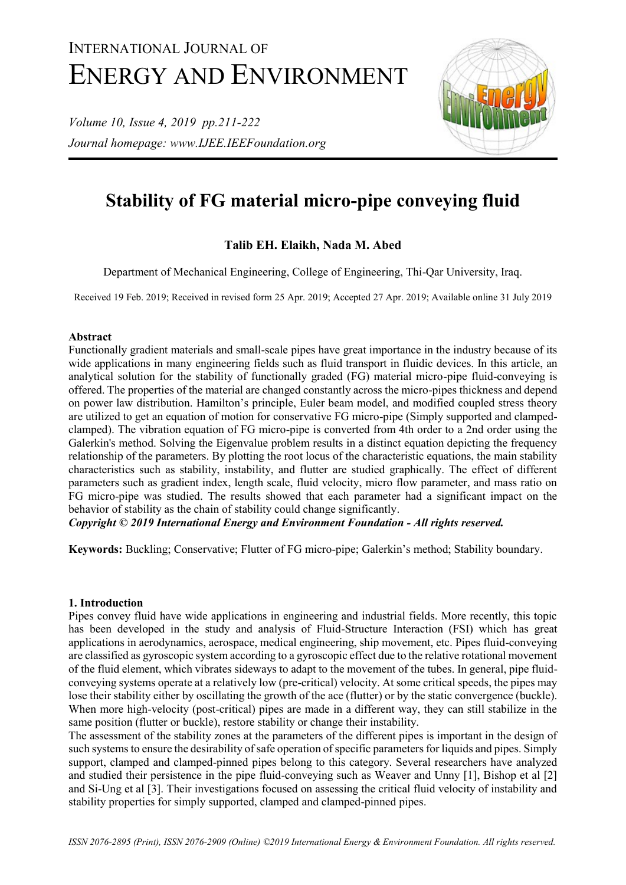# INTERNATIONAL JOURNAL OF ENERGY AND ENVIRONMENT

*Volume 10, Issue 4, 2019 pp.211-222 Journal homepage: www.IJEE.IEEFoundation.org*



# **Stability of FG material micro-pipe conveying fluid**

# **Talib EH. Elaikh, Nada M. Abed**

Department of Mechanical Engineering, College of Engineering, Thi-Qar University, Iraq.

Received 19 Feb. 2019; Received in revised form 25 Apr. 2019; Accepted 27 Apr. 2019; Available online 31 July 2019

## **Abstract**

Functionally gradient materials and small-scale pipes have great importance in the industry because of its wide applications in many engineering fields such as fluid transport in fluidic devices. In this article, an analytical solution for the stability of functionally graded (FG) material micro-pipe fluid-conveying is offered. The properties of the material are changed constantly across the micro-pipes thickness and depend on power law distribution. Hamilton's principle, Euler beam model, and modified coupled stress theory are utilized to get an equation of motion for conservative FG micro-pipe (Simply supported and clampedclamped). The vibration equation of FG micro-pipe is converted from 4th order to a 2nd order using the Galerkin's method. Solving the Eigenvalue problem results in a distinct equation depicting the frequency relationship of the parameters. By plotting the root locus of the characteristic equations, the main stability characteristics such as stability, instability, and flutter are studied graphically. The effect of different parameters such as gradient index, length scale, fluid velocity, micro flow parameter, and mass ratio on FG micro-pipe was studied. The results showed that each parameter had a significant impact on the behavior of stability as the chain of stability could change significantly.

*Copyright © 2019 International Energy and Environment Foundation - All rights reserved.*

**Keywords:** Buckling; Conservative; Flutter of FG micro-pipe; Galerkin's method; Stability boundary.

# **1. Introduction**

Pipes convey fluid have wide applications in engineering and industrial fields. More recently, this topic has been developed in the study and analysis of Fluid-Structure Interaction (FSI) which has great applications in aerodynamics, aerospace, medical engineering, ship movement, etc. Pipes fluid-conveying are classified as gyroscopic system according to a gyroscopic effect due to the relative rotational movement of the fluid element, which vibrates sideways to adapt to the movement of the tubes. In general, pipe fluidconveying systems operate at a relatively low (pre-critical) velocity. At some critical speeds, the pipes may lose their stability either by oscillating the growth of the ace (flutter) or by the static convergence (buckle). When more high-velocity (post-critical) pipes are made in a different way, they can still stabilize in the same position (flutter or buckle), restore stability or change their instability.

The assessment of the stability zones at the parameters of the different pipes is important in the design of such systems to ensure the desirability of safe operation of specific parameters for liquids and pipes. Simply support, clamped and clamped-pinned pipes belong to this category. Several researchers have analyzed and studied their persistence in the pipe fluid-conveying such as Weaver and Unny [1], Bishop et al [2] and Si-Ung et al [3]. Their investigations focused on assessing the critical fluid velocity of instability and stability properties for simply supported, clamped and clamped-pinned pipes.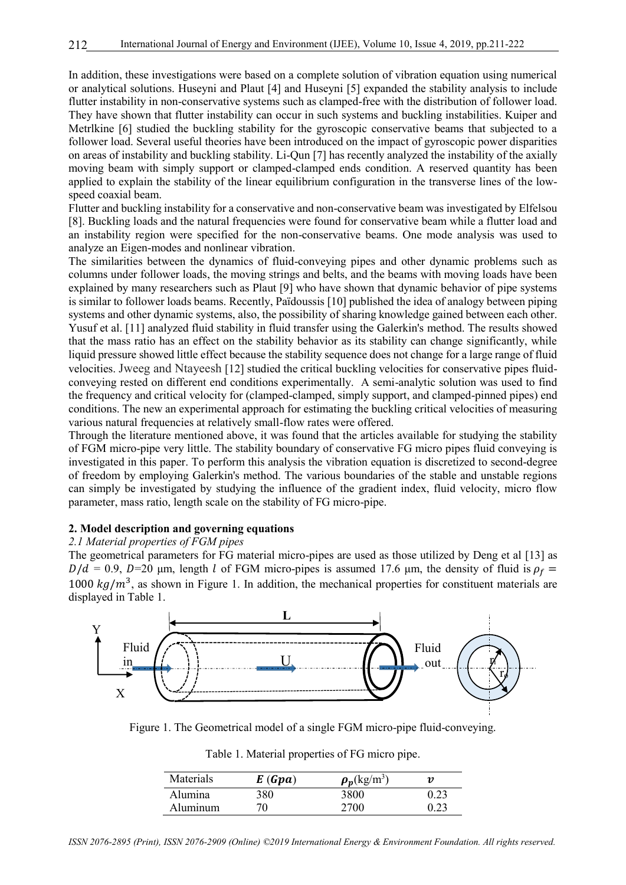In addition, these investigations were based on a complete solution of vibration equation using numerical or analytical solutions. Huseyni and Plaut [4] and Huseyni [5] expanded the stability analysis to include flutter instability in non-conservative systems such as clamped-free with the distribution of follower load. They have shown that flutter instability can occur in such systems and buckling instabilities. Kuiper and Metrlkine [6] studied the buckling stability for the gyroscopic conservative beams that subjected to a follower load. Several useful theories have been introduced on the impact of gyroscopic power disparities on areas of instability and buckling stability. Li-Qun [7] has recently analyzed the instability of the axially moving beam with simply support or clamped-clamped ends condition. A reserved quantity has been applied to explain the stability of the linear equilibrium configuration in the transverse lines of the lowspeed coaxial beam.

Flutter and buckling instability for a conservative and non-conservative beam was investigated by Elfelsou [8]. Buckling loads and the natural frequencies were found for conservative beam while a flutter load and an instability region were specified for the non-conservative beams. One mode analysis was used to analyze an Eigen-modes and nonlinear vibration.

The similarities between the dynamics of fluid-conveying pipes and other dynamic problems such as columns under follower loads, the moving strings and belts, and the beams with moving loads have been explained by many researchers such as Plaut [9] who have shown that dynamic behavior of pipe systems is similar to follower loads beams. Recently, Païdoussis [10] published the idea of analogy between piping systems and other dynamic systems, also, the possibility of sharing knowledge gained between each other. Yusuf et al. [11] analyzed fluid stability in fluid transfer using the Galerkin's method. The results showed that the mass ratio has an effect on the stability behavior as its stability can change significantly, while liquid pressure showed little effect because the stability sequence does not change for a large range of fluid velocities. Jweeg and Ntayeesh [12] studied the critical buckling velocities for conservative pipes fluidconveying rested on different end conditions experimentally. A semi-analytic solution was used to find the frequency and critical velocity for (clamped-clamped, simply support, and clamped-pinned pipes) end conditions. The new an experimental approach for estimating the buckling critical velocities of measuring various natural frequencies at relatively small-flow rates were offered.

Through the literature mentioned above, it was found that the articles available for studying the stability of FGM micro-pipe very little. The stability boundary of conservative FG micro pipes fluid conveying is investigated in this paper. To perform this analysis the vibration equation is discretized to second-degree of freedom by employing Galerkin's method. The various boundaries of the stable and unstable regions can simply be investigated by studying the influence of the gradient index, fluid velocity, micro flow parameter, mass ratio, length scale on the stability of FG micro-pipe.

## **2. Model description and governing equations**

#### *2.1 Material properties of FGM pipes*

The geometrical parameters for FG material micro-pipes are used as those utilized by Deng et al [13] as  $D/d = 0.9$ ,  $D=20$  μm, length l of FGM micro-pipes is assumed 17.6 μm, the density of fluid is  $\rho_f =$ 1000  $kg/m<sup>3</sup>$ , as shown in Figure 1. In addition, the mechanical properties for constituent materials are displayed in Table 1.



Figure 1. The Geometrical model of a single FGM micro-pipe fluid-conveying.

|  | Table 1. Material properties of FG micro pipe. |  |  |
|--|------------------------------------------------|--|--|
|  |                                                |  |  |

| Materials | E(Gpa) | $\rho_p(\text{kg/m}^3)$ | $\boldsymbol{\eta}$ |
|-----------|--------|-------------------------|---------------------|
| Alumina   | 380    | 3800                    | 0.23                |
| Aluminum  | 70     | 2700                    | 0.23                |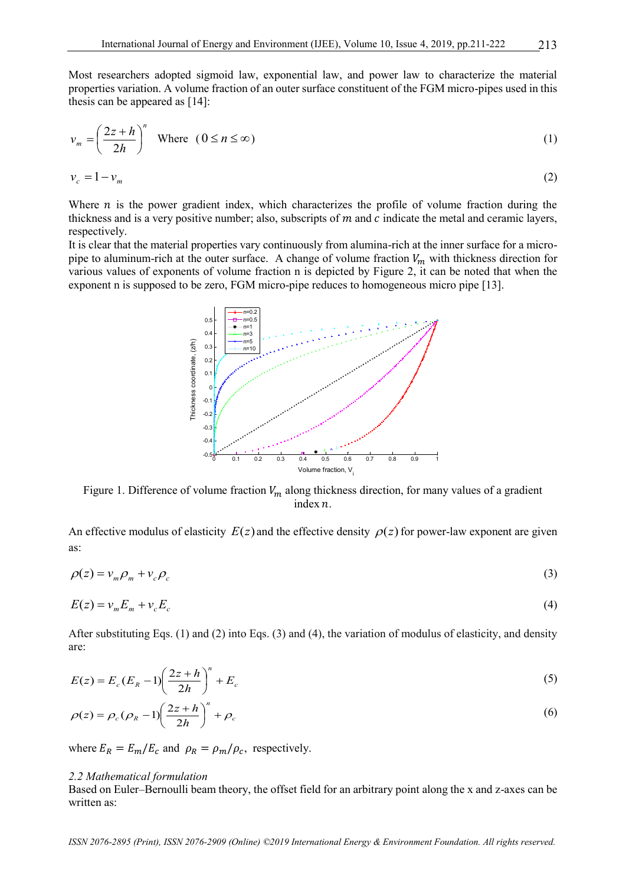Most researchers adopted sigmoid law, exponential law, and power law to characterize the material properties variation. A volume fraction of an outer surface constituent of the FGM micro-pipes used in this thesis can be appeared as [14]:

$$
v_m = \left(\frac{2z + h}{2h}\right)^n \quad \text{Where} \quad (0 \le n \le \infty) \tag{1}
$$

$$
v_c = 1 - v_m \tag{2}
$$

Where  $n$  is the power gradient index, which characterizes the profile of volume fraction during the thickness and is a very positive number; also, subscripts of  $m$  and  $c$  indicate the metal and ceramic layers, respectively.

It is clear that the material properties vary continuously from alumina-rich at the inner surface for a micropipe to aluminum-rich at the outer surface. A change of volume fraction  $V_m$  with thickness direction for various values of exponents of volume fraction n is depicted by Figure 2, it can be noted that when the exponent n is supposed to be zero, FGM micro-pipe reduces to homogeneous micro pipe [13].



Figure 1. Difference of volume fraction  $V_m$  along thickness direction, for many values of a gradient index  $n$ .

An effective modulus of elasticity  $E(z)$  and the effective density  $\rho(z)$  for power-law exponent are given as:

$$
\rho(z) = v_m \rho_m + v_c \rho_c \tag{3}
$$

$$
E(z) = v_m E_m + v_c E_c \tag{4}
$$

After substituting Eqs. (1) and (2) into Eqs. (3) and (4), the variation of modulus of elasticity, and density are:

$$
E(z) = E_c (E_R - 1) \left(\frac{2z + h}{2h}\right)^n + E_c
$$
\n<sup>(5)</sup>

$$
\rho(z) = \rho_c (\rho_R - 1) \left( \frac{2z + h}{2h} \right)^n + \rho_c \tag{6}
$$

where  $E_R = E_m / E_c$  and  $\rho_R = \rho_m / \rho_c$ , respectively.

#### *2.2 Mathematical formulation*

Based on Euler–Bernoulli beam theory, the offset field for an arbitrary point along the x and z-axes can be written as:

*ISSN 2076-2895 (Print), ISSN 2076-2909 (Online) ©2019 International Energy & Environment Foundation. All rights reserved.*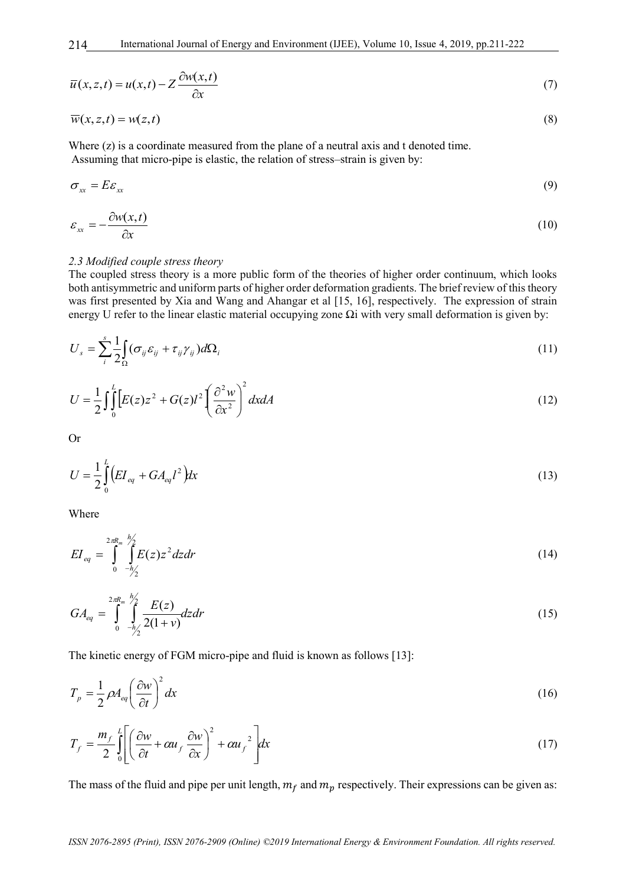International Journal of Energy and Environment (IJEE), Volume 10, Issue 4, 2019, pp.211-222

$$
\overline{u}(x, z, t) = u(x, t) - Z \frac{\partial w(x, t)}{\partial x}
$$
\n<sup>(7)</sup>

$$
\overline{w}(x, z, t) = w(z, t) \tag{8}
$$

Where (z) is a coordinate measured from the plane of a neutral axis and t denoted time. Assuming that micro-pipe is elastic, the relation of stress–strain is given by:

$$
\sigma_{xx} = E \varepsilon_{xx} \tag{9}
$$

$$
\varepsilon_{xx} = -\frac{\partial w(x,t)}{\partial x} \tag{10}
$$

#### *2.3 Modified couple stress theory*

The coupled stress theory is a more public form of the theories of higher order continuum, which looks both antisymmetric and uniform parts of higher order deformation gradients. The brief review of this theory was first presented by Xia and Wang and Ahangar et al [15, 16], respectively. The expression of strain energy U refer to the linear elastic material occupying zone Ωi with very small deformation is given by:

$$
U_s = \sum_{i=1}^{s} \frac{1}{2} \int_{\Omega} (\sigma_{ij} \varepsilon_{ij} + \tau_{ij} \gamma_{ij}) d\Omega_i
$$
\n(11)

$$
U = \frac{1}{2} \int_0^L \left[ E(z) z^2 + G(z) l^2 \left( \frac{\partial^2 w}{\partial x^2} \right)^2 dx dA \right]
$$
 (12)

Or

$$
U = \frac{1}{2} \int_{0}^{L} \left( EI_{eq} + GA_{eq} l^2 \right) dx \tag{13}
$$

Where

$$
EI_{eq} = \int_{0}^{2\pi R_m} \int_{-h/2}^{h/2} E(z) z^2 dz dr \tag{14}
$$

$$
GA_{eq} = \int_{0}^{2\pi R_m} \int_{-\frac{h}{2}}^{\frac{h}{2}} \frac{E(z)}{2(1+v)} dz dr
$$
\n(15)

The kinetic energy of FGM micro-pipe and fluid is known as follows [13]:

$$
T_p = \frac{1}{2} \rho A_{eq} \left(\frac{\partial w}{\partial t}\right)^2 dx
$$
 (16)

$$
T_f = \frac{m_f}{2} \int_0^L \left[ \left( \frac{\partial w}{\partial t} + \alpha u_f \frac{\partial w}{\partial x} \right)^2 + \alpha u_f^2 \right] dx \tag{17}
$$

The mass of the fluid and pipe per unit length,  $m_f$  and  $m_p$  respectively. Their expressions can be given as: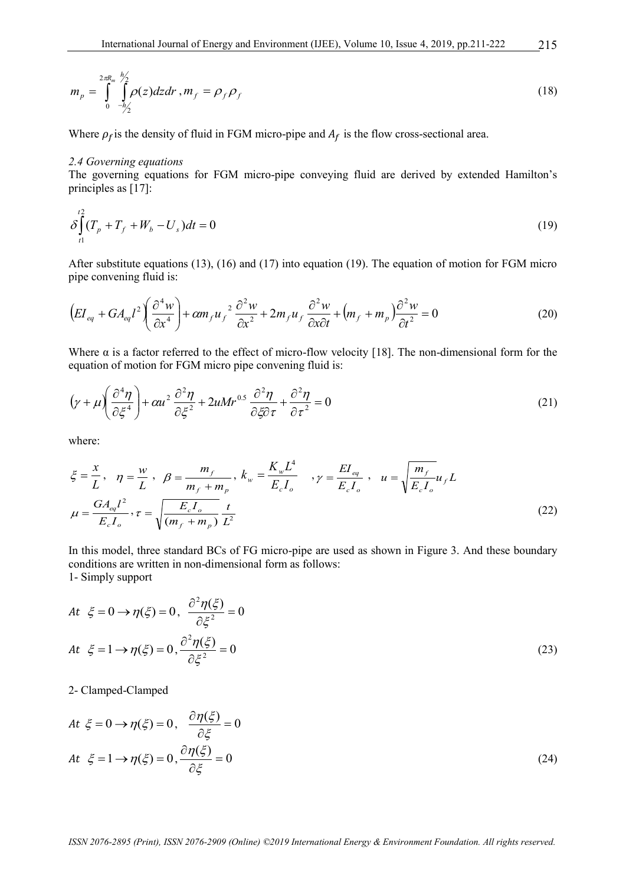$$
m_p = \int_{0}^{2\pi R_m} \int_{-\hbar/2}^{\hbar/2} \rho(z) dz dr \,, m_f = \rho_f \rho_f \tag{18}
$$

Where  $\rho_f$  is the density of fluid in FGM micro-pipe and  $A_f$  is the flow cross-sectional area.

#### *2.4 Governing equations*

The governing equations for FGM micro-pipe conveying fluid are derived by extended Hamilton's principles as [17]:

$$
\delta \int_{t_1}^{t_2} (T_p + T_f + W_b - U_s) dt = 0
$$
\n(19)

After substitute equations (13), (16) and (17) into equation (19). The equation of motion for FGM micro pipe convening fluid is:

$$
\left( EI_{eq} + GA_{eq}l^2 \left( \frac{\partial^4 w}{\partial x^4} \right) + \alpha m_f u_f^2 \frac{\partial^2 w}{\partial x^2} + 2m_f u_f \frac{\partial^2 w}{\partial x \partial t} + \left( m_f + m_p \right) \frac{\partial^2 w}{\partial t^2} = 0 \tag{20}
$$

Where  $\alpha$  is a factor referred to the effect of micro-flow velocity [18]. The non-dimensional form for the equation of motion for FGM micro pipe convening fluid is:

$$
\left(\gamma + \mu\right)\left(\frac{\partial^4 \eta}{\partial \xi^4}\right) + \alpha u^2 \frac{\partial^2 \eta}{\partial \xi^2} + 2uMr^{0.5}\frac{\partial^2 \eta}{\partial \xi \partial \tau} + \frac{\partial^2 \eta}{\partial \tau^2} = 0\tag{21}
$$

where:

$$
\xi = \frac{x}{L}, \quad \eta = \frac{w}{L}, \quad \beta = \frac{m_f}{m_f + m_p}, \quad k_w = \frac{K_w L^4}{E_c I_o}, \quad \gamma = \frac{EI_{eq}}{E_c I_o}, \quad u = \sqrt{\frac{m_f}{E_c I_o}} u_f L
$$
\n
$$
\mu = \frac{G A_{eq} l^2}{E_c I_o}, \quad \tau = \sqrt{\frac{E_c I_o}{(m_f + m_p)}} \frac{t}{L^2}
$$
\n(22)

In this model, three standard BCs of FG micro-pipe are used as shown in Figure 3. And these boundary conditions are written in non-dimensional form as follows: 1- Simply support

$$
At \xi = 0 \rightarrow \eta(\xi) = 0, \quad \frac{\partial^2 \eta(\xi)}{\partial \xi^2} = 0
$$
  
\n
$$
At \xi = 1 \rightarrow \eta(\xi) = 0, \quad \frac{\partial^2 \eta(\xi)}{\partial \xi^2} = 0
$$
\n(23)

2- Clamped-Clamped

$$
At \xi = 0 \to \eta(\xi) = 0, \quad \frac{\partial \eta(\xi)}{\partial \xi} = 0
$$
  
At \xi = 1 \to \eta(\xi) = 0,  $\frac{\partial \eta(\xi)}{\partial \xi} = 0$  (24)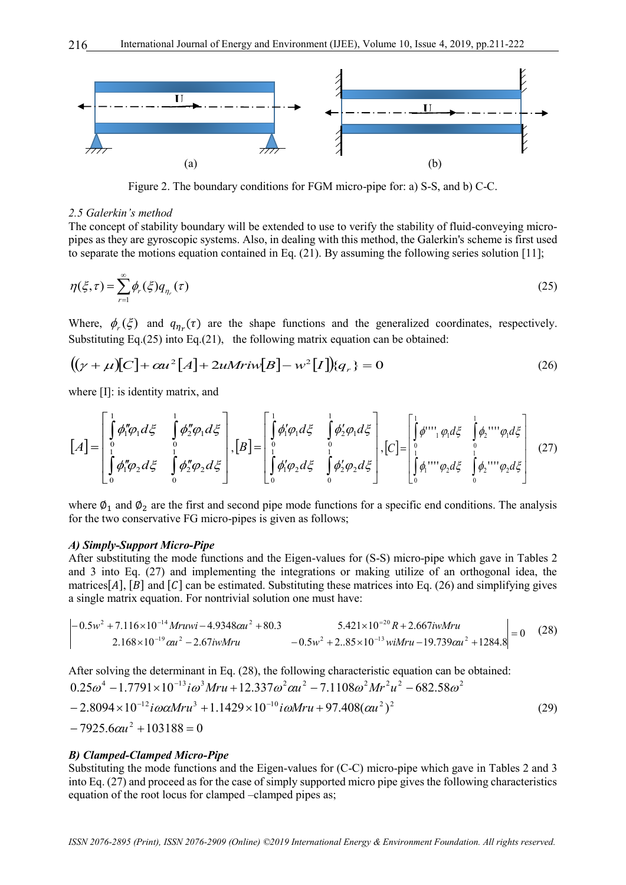

Figure 2. The boundary conditions for FGM micro-pipe for: a) S-S, and b) C-C.

#### *2.5 Galerkin's method*

The concept of stability boundary will be extended to use to verify the stability of fluid-conveying micropipes as they are gyroscopic systems. Also, in dealing with this method, the Galerkin's scheme is first used to separate the motions equation contained in Eq. (21). By assuming the following series solution [11];

$$
\eta(\xi,\tau) = \sum_{r=1}^{\infty} \phi_r(\xi) q_{\eta_r}(\tau) \tag{25}
$$

Where,  $\phi_r(\xi)$  and  $q_{\eta_r}(\tau)$  are the shape functions and the generalized coordinates, respectively. Substituting Eq. $(25)$  into Eq. $(21)$ , the following matrix equation can be obtained:

$$
((\gamma + \mu)[C] + \alpha u^2[A] + 2uM\text{riv}[B] - w^2[I]\mathbf{Q}_r\} = 0
$$
\n(26)

where [I]: is identity matrix, and

$$
[A] = \begin{bmatrix} \int_{0}^{1} \phi_{1}'' \phi_{1} d\xi & \int_{0}^{1} \phi_{2}'' \phi_{1} d\xi \\ \int_{0}^{1} \phi_{1}'' \phi_{2} d\xi & \int_{0}^{1} \phi_{2}'' \phi_{2} d\xi \end{bmatrix}, [B] = \begin{bmatrix} \int_{0}^{1} \phi_{1}' \phi_{1} d\xi & \int_{0}^{1} \phi_{2}' \phi_{1} d\xi \\ \int_{0}^{1} \phi_{1}'' \phi_{2} d\xi & \int_{0}^{1} \phi_{2}'' \phi_{2} d\xi \end{bmatrix}, [C] = \begin{bmatrix} \int_{0}^{1} \phi_{1}'' \phi_{1} d\xi & \int_{0}^{1} \phi_{2}'' \phi_{1} d\xi \\ \int_{0}^{1} \phi_{1}'' \phi_{2} d\xi & \int_{0}^{1} \phi_{2}'' \phi_{2} d\xi \end{bmatrix}
$$
(27)

where  $\varphi_1$  and  $\varphi_2$  are the first and second pipe mode functions for a specific end conditions. The analysis for the two conservative FG micro-pipes is given as follows;

#### *A) Simply-Support Micro-Pipe*

After substituting the mode functions and the Eigen-values for (S-S) micro-pipe which gave in Tables 2 and 3 into Eq. (27) and implementing the integrations or making utilize of an orthogonal idea, the matrices[A],  $[B]$  and  $[C]$  can be estimated. Substituting these matrices into Eq. (26) and simplifying gives a single matrix equation. For nontrivial solution one must have:<br> $\left[-0.5w^2 + 7.116 \times 10^{-14} Mruwi - 4.9348 \alpha u^2 + 80.3\right]$  5.421×10<sup>-20</sup>

$$
\begin{vmatrix} -0.5w^2 + 7.116 \times 10^{-14} Mruwi - 4.9348 \alpha u^2 + 80.3 & 5.421 \times 10^{-20} R + 2.667 iw Mru \\ 2.168 \times 10^{-19} \alpha u^2 - 2.67 iw Mru & -0.5w^2 + 2.85 \times 10^{-13} wi Mru - 19.739 \alpha u^2 + 1284.8 \end{vmatrix} = 0
$$
 (28)

After solving the determinant in Eq. (28), the following characteristic equation can be obtained:  $-7925.6 \alpha u^2 + 103188 = 0$  $2.25\omega^4 - 1.7791 \times 10^{-13} i\omega^3 Mru + 12.337\omega^2 \omega u^2 - 7.1108\omega^2 Mr^2 u$ <br>  $- 2.8094 \times 10^{-12} i\omega \alpha Mru^3 + 1.1429 \times 10^{-10} i\omega Mru + 97.408(\omega u^2)^2$ After solving the determinant in Eq. (28), the following characteristic equation can be  $0.25\omega^4 - 1.7791 \times 10^{-13} i\omega^3 Mru + 12.337\omega^2 \alpha u^2 - 7.1108\omega^2 Mr^2 u^2 - 682.58\omega^2$ (29)

#### *B) Clamped-Clamped Micro-Pipe*

Substituting the mode functions and the Eigen-values for (C-C) micro-pipe which gave in Tables 2 and 3 into Eq. (27) and proceed as for the case of simply supported micro pipe gives the following characteristics equation of the root locus for clamped –clamped pipes as;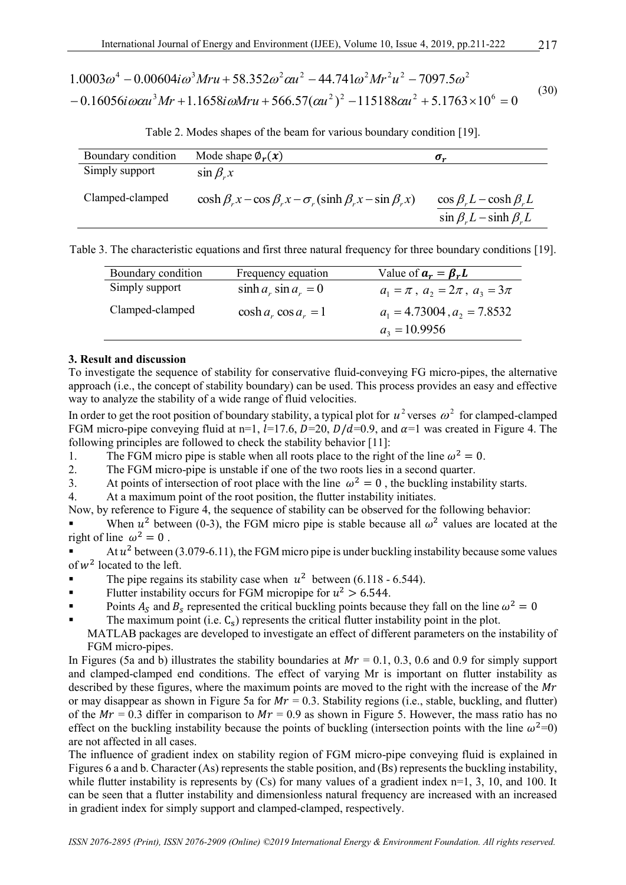$$
1.0003\omega^4 - 0.00604i\omega^3 Mru + 58.352\omega^2 \alpha u^2 - 44.741\omega^2 Mr^2 u^2 - 7097.5\omega^2
$$
  
- 0.16056*i*  $\omega \alpha u^3 Mr + 1.1658i\omega Mru + 566.57(\alpha u^2)^2 - 115188\alpha u^2 + 5.1763 \times 10^6 = 0$  (30)

Table 2. Modes shapes of the beam for various boundary condition [19].

| Boundary condition | Mode shape $\phi_r(x)$                                                           | $\sigma_r$                                                           |
|--------------------|----------------------------------------------------------------------------------|----------------------------------------------------------------------|
| Simply support     | $\sin \beta_r x$                                                                 |                                                                      |
| Clamped-clamped    | $\cosh \beta_x x - \cos \beta_x x - \sigma_x (\sinh \beta_x x - \sin \beta_x x)$ | $\cos \beta L - \cosh \beta L$<br>$\sin \beta_r L - \sinh \beta_r L$ |

Table 3. The characteristic equations and first three natural frequency for three boundary conditions [19].

| Boundary condition | Frequency equation       | Value of $a_r = \beta_r L$                |
|--------------------|--------------------------|-------------------------------------------|
| Simply support     | $\sinh a_r \sin a_r = 0$ | $a_1 = \pi$ , $a_2 = 2\pi$ , $a_3 = 3\pi$ |
| Clamped-clamped    | $\cosh a_r \cos a_r = 1$ | $a_1 = 4.73004$ , $a_2 = 7.8532$          |
|                    |                          | $a_3 = 10.9956$                           |

#### **3. Result and discussion**

To investigate the sequence of stability for conservative fluid-conveying FG micro-pipes, the alternative approach (i.e., the concept of stability boundary) can be used. This process provides an easy and effective way to analyze the stability of a wide range of fluid velocities.

In order to get the root position of boundary stability, a typical plot for  $u^2$  verses  $\omega^2$  for clamped-clamped FGM micro-pipe conveying fluid at n=1,  $l=17.6$ ,  $D=20$ ,  $D/d=0.9$ , and  $\alpha=1$  was created in Figure 4. The following principles are followed to check the stability behavior [11]:

- 1. The FGM micro pipe is stable when all roots place to the right of the line  $\omega^2 = 0$ .
- 2. The FGM micro-pipe is unstable if one of the two roots lies in a second quarter.
- 3. At points of intersection of root place with the line  $\omega^2 = 0$ , the buckling instability starts.
- 4. At a maximum point of the root position, the flutter instability initiates.
- Now, by reference to Figure 4, the sequence of stability can be observed for the following behavior:

When  $u^2$  between (0-3), the FGM micro pipe is stable because all  $\omega^2$  values are located at the right of line  $\omega^2 = 0$ .

- At  $u^2$  between (3.079-6.11), the FGM micro pipe is under buckling instability because some values of  $w^2$  located to the left.
- The pipe regains its stability case when  $u^2$  between (6.118 6.544).
- Flutter instability occurs for FGM micropipe for  $u^2 > 6.544$ .
- Points  $A_s$  and  $B_s$  represented the critical buckling points because they fall on the line  $\omega^2 = 0$
- The maximum point (i.e.  $C_s$ ) represents the critical flutter instability point in the plot. MATLAB packages are developed to investigate an effect of different parameters on the instability of
- FGM micro-pipes.

In Figures (5a and b) illustrates the stability boundaries at  $Mr = 0.1, 0.3, 0.6$  and 0.9 for simply support and clamped-clamped end conditions. The effect of varying Mr is important on flutter instability as described by these figures, where the maximum points are moved to the right with the increase of the Mr or may disappear as shown in Figure 5a for  $Mr = 0.3$ . Stability regions (i.e., stable, buckling, and flutter) of the  $Mr = 0.3$  differ in comparison to  $Mr = 0.9$  as shown in Figure 5. However, the mass ratio has no effect on the buckling instability because the points of buckling (intersection points with the line  $\omega^2=0$ ) are not affected in all cases.

The influence of gradient index on stability region of FGM micro-pipe conveying fluid is explained in Figures 6 a and b. Character (As) represents the stable position, and (Bs) represents the buckling instability, while flutter instability is represents by  $(Cs)$  for many values of a gradient index  $n=1, 3, 10$ , and 100. It can be seen that a flutter instability and dimensionless natural frequency are increased with an increased in gradient index for simply support and clamped-clamped, respectively.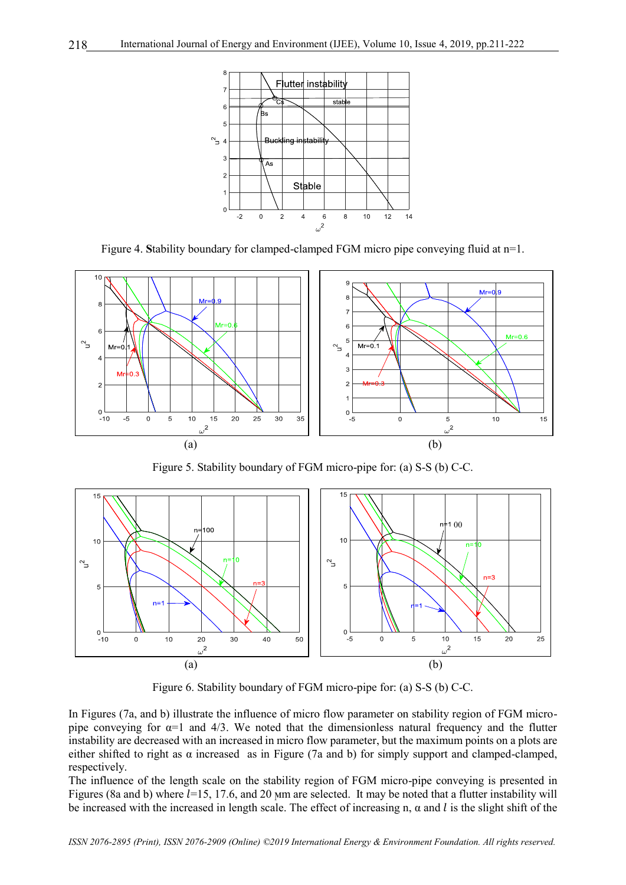

Figure 4. **S**tability boundary for clamped-clamped FGM micro pipe conveying fluid at n=1.



Figure 5. Stability boundary of FGM micro-pipe for: (a) S-S (b) C-C.



Figure 6. Stability boundary of FGM micro-pipe for: (a) S-S (b) C-C.

In Figures (7a, and b) illustrate the influence of micro flow parameter on stability region of FGM micropipe conveying for  $\alpha=1$  and 4/3. We noted that the dimensionless natural frequency and the flutter instability are decreased with an increased in micro flow parameter, but the maximum points on a plots are either shifted to right as α increased as in Figure (7a and b) for simply support and clamped-clamped, respectively.

The influence of the length scale on the stability region of FGM micro-pipe conveying is presented in Figures (8a and b) where  $l=15$ , 17.6, and 20  $\mu$ m are selected. It may be noted that a flutter instability will be increased with the increased in length scale. The effect of increasing n,  $\alpha$  and l is the slight shift of the

*ISSN 2076-2895 (Print), ISSN 2076-2909 (Online) ©2019 International Energy & Environment Foundation. All rights reserved.*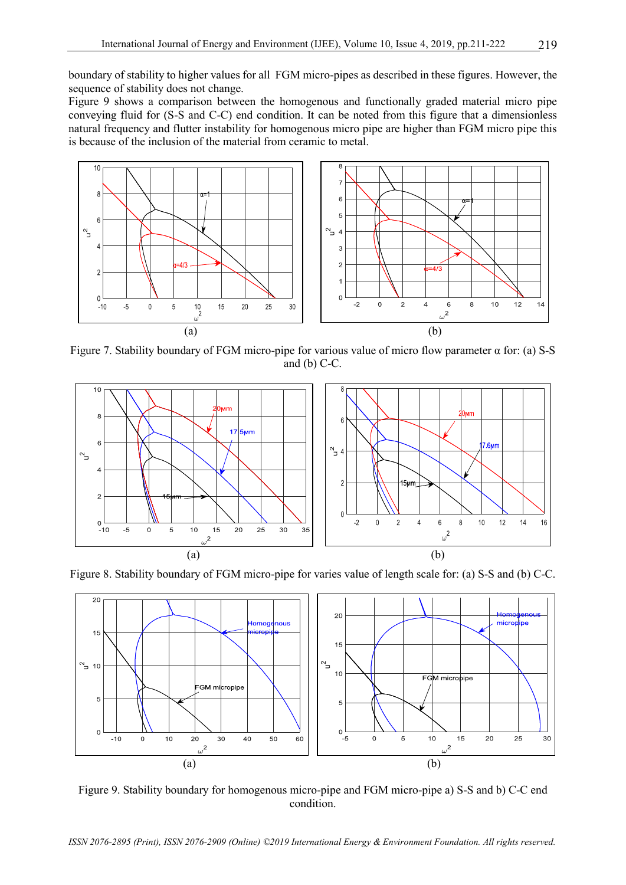boundary of stability to higher values for all FGM micro-pipes as described in these figures. However, the sequence of stability does not change.

Figure 9 shows a comparison between the homogenous and functionally graded material micro pipe conveying fluid for (S-S and C-C) end condition. It can be noted from this figure that a dimensionless natural frequency and flutter instability for homogenous micro pipe are higher than FGM micro pipe this is because of the inclusion of the material from ceramic to metal.



Figure 7. Stability boundary of FGM micro-pipe for various value of micro flow parameter α for: (a) S-S and (b) C-C.



Figure 8. Stability boundary of FGM micro-pipe for varies value of length scale for: (a) S-S and (b) C-C.



Figure 9. Stability boundary for homogenous micro-pipe and FGM micro-pipe a) S-S and b) C-C end condition.

*ISSN 2076-2895 (Print), ISSN 2076-2909 (Online) ©2019 International Energy & Environment Foundation. All rights reserved.*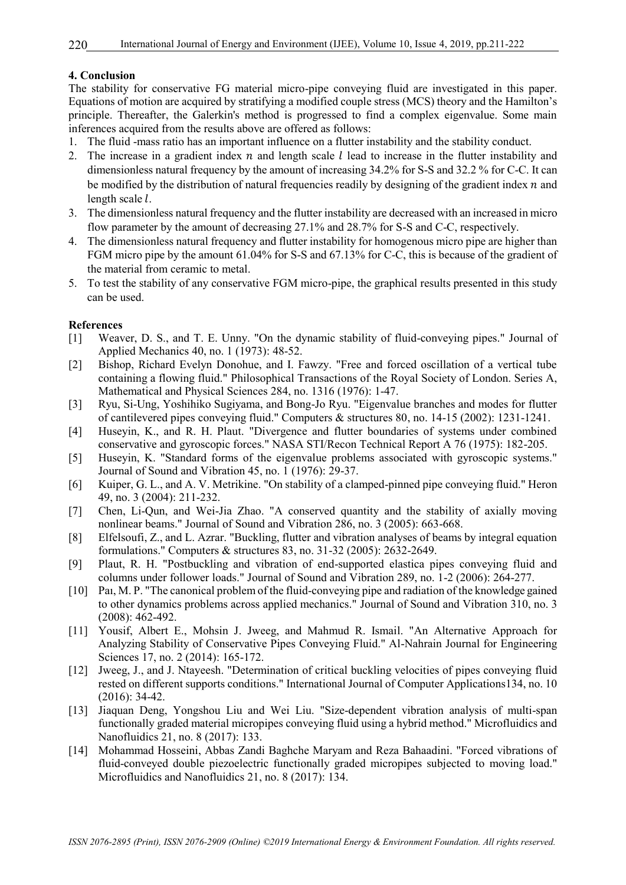# **4. Conclusion**

The stability for conservative FG material micro-pipe conveying fluid are investigated in this paper. Equations of motion are acquired by stratifying a modified couple stress (MCS) theory and the Hamilton's principle. Thereafter, the Galerkin's method is progressed to find a complex eigenvalue. Some main inferences acquired from the results above are offered as follows:

- 1. The fluid -mass ratio has an important influence on a flutter instability and the stability conduct.
- 2. The increase in a gradient index  $n$  and length scale  $l$  lead to increase in the flutter instability and dimensionless natural frequency by the amount of increasing 34.2% for S-S and 32.2 % for C-C. It can be modified by the distribution of natural frequencies readily by designing of the gradient index  $n$  and length scale  $l$ .
- 3. The dimensionless natural frequency and the flutter instability are decreased with an increased in micro flow parameter by the amount of decreasing 27.1% and 28.7% for S-S and C-C, respectively.
- 4. The dimensionless natural frequency and flutter instability for homogenous micro pipe are higher than FGM micro pipe by the amount 61.04% for S-S and 67.13% for C-C, this is because of the gradient of the material from ceramic to metal.
- 5. To test the stability of any conservative FGM micro-pipe, the graphical results presented in this study can be used.

# **References**

- [1] Weaver, D. S., and T. E. Unny. "On the dynamic stability of fluid-conveying pipes." Journal of Applied Mechanics 40, no. 1 (1973): 48-52.
- [2] Bishop, Richard Evelyn Donohue, and I. Fawzy. "Free and forced oscillation of a vertical tube containing a flowing fluid." Philosophical Transactions of the Royal Society of London. Series A, Mathematical and Physical Sciences 284, no. 1316 (1976): 1-47.
- [3] Ryu, Si-Ung, Yoshihiko Sugiyama, and Bong-Jo Ryu. "Eigenvalue branches and modes for flutter of cantilevered pipes conveying fluid." Computers & structures 80, no. 14-15 (2002): 1231-1241.
- [4] Huseyin, K., and R. H. Plaut. "Divergence and flutter boundaries of systems under combined conservative and gyroscopic forces." NASA STI/Recon Technical Report A 76 (1975): 182-205.
- [5] Huseyin, K. "Standard forms of the eigenvalue problems associated with gyroscopic systems." Journal of Sound and Vibration 45, no. 1 (1976): 29-37.
- [6] Kuiper, G. L., and A. V. Metrikine. "On stability of a clamped-pinned pipe conveying fluid." Heron 49, no. 3 (2004): 211-232.
- [7] Chen, Li-Qun, and Wei-Jia Zhao. "A conserved quantity and the stability of axially moving nonlinear beams." Journal of Sound and Vibration 286, no. 3 (2005): 663-668.
- [8] Elfelsoufi, Z., and L. Azrar. "Buckling, flutter and vibration analyses of beams by integral equation formulations." Computers & structures 83, no. 31-32 (2005): 2632-2649.
- [9] Plaut, R. H. "Postbuckling and vibration of end-supported elastica pipes conveying fluid and columns under follower loads." Journal of Sound and Vibration 289, no. 1-2 (2006): 264-277.
- [10] Pai, M. P. "The canonical problem of the fluid-conveying pipe and radiation of the knowledge gained to other dynamics problems across applied mechanics." Journal of Sound and Vibration 310, no. 3 (2008): 462-492.
- [11] Yousif, Albert E., Mohsin J. Jweeg, and Mahmud R. Ismail. "An Alternative Approach for Analyzing Stability of Conservative Pipes Conveying Fluid." Al-Nahrain Journal for Engineering Sciences 17, no. 2 (2014): 165-172.
- [12] Jweeg, J., and J. Ntayeesh. "Determination of critical buckling velocities of pipes conveying fluid rested on different supports conditions." International Journal of Computer Applications134, no. 10 (2016): 34-42.
- [13] Jiaquan Deng, Yongshou Liu and Wei Liu. "Size-dependent vibration analysis of multi-span functionally graded material micropipes conveying fluid using a hybrid method." Microfluidics and Nanofluidics 21, no. 8 (2017): 133.
- [14] Mohammad Hosseini, Abbas Zandi Baghche Maryam and Reza Bahaadini. "Forced vibrations of fluid-conveyed double piezoelectric functionally graded micropipes subjected to moving load." Microfluidics and Nanofluidics 21, no. 8 (2017): 134.